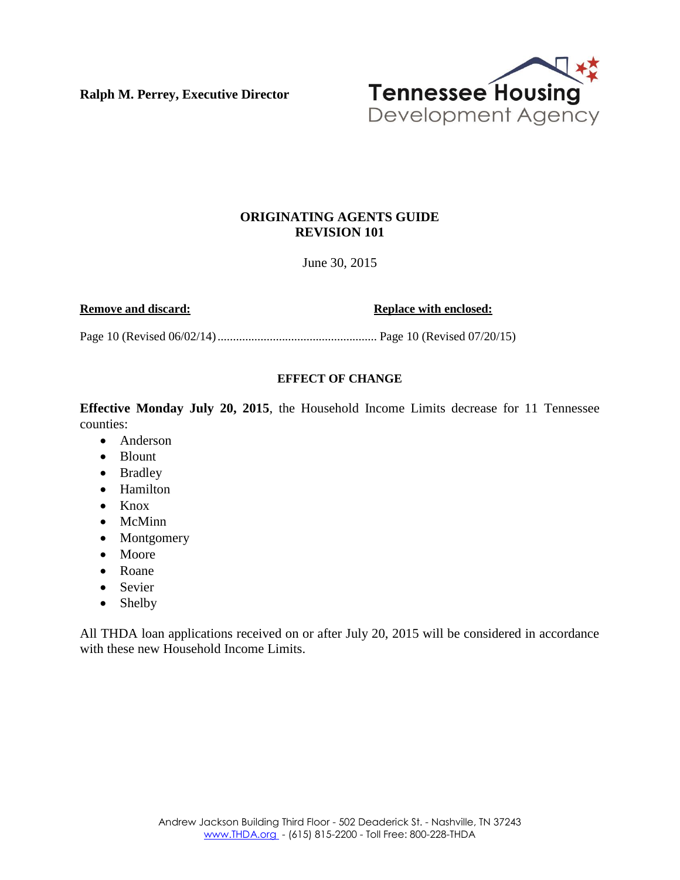**Ralph M. Perrey, Executive Director**



## **ORIGINATING AGENTS GUIDE REVISION 101**

June 30, 2015

**Remove and discard: Replace with enclosed: Replace with enclosed:** 

Page 10 (Revised 06/02/14).................................................... Page 10 (Revised 07/20/15)

## **EFFECT OF CHANGE**

**Effective Monday July 20, 2015**, the Household Income Limits decrease for 11 Tennessee counties:

- Anderson
- Blount
- Bradley
- Hamilton
- $\bullet$  Knox
- McMinn
- Montgomery
- Moore
- Roane
- Sevier
- Shelby

All THDA loan applications received on or after July 20, 2015 will be considered in accordance with these new Household Income Limits.